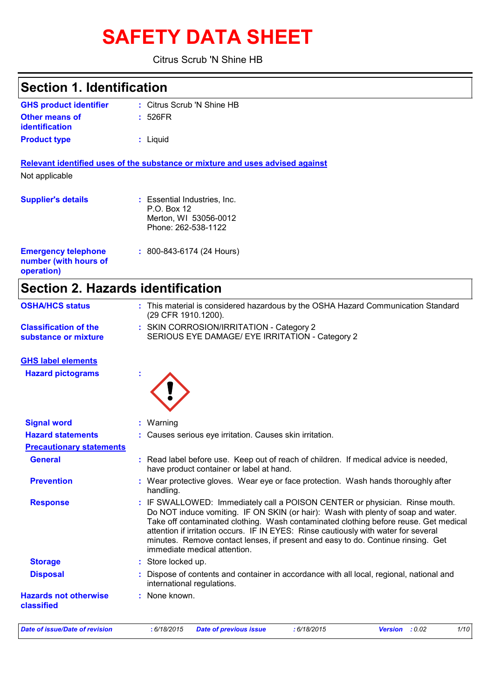# **SAFETY DATA SHEET**

Citrus Scrub 'N Shine HB

| <b>Section 1. Identification</b>                                  |                                                                                                                                                                                                                                                                                                                                                                                                                                                                     |
|-------------------------------------------------------------------|---------------------------------------------------------------------------------------------------------------------------------------------------------------------------------------------------------------------------------------------------------------------------------------------------------------------------------------------------------------------------------------------------------------------------------------------------------------------|
| <b>GHS product identifier</b>                                     | : Citrus Scrub 'N Shine HB                                                                                                                                                                                                                                                                                                                                                                                                                                          |
| <b>Other means of</b><br><b>identification</b>                    | : 526FR                                                                                                                                                                                                                                                                                                                                                                                                                                                             |
| <b>Product type</b>                                               | : Liquid                                                                                                                                                                                                                                                                                                                                                                                                                                                            |
|                                                                   | Relevant identified uses of the substance or mixture and uses advised against                                                                                                                                                                                                                                                                                                                                                                                       |
| Not applicable                                                    |                                                                                                                                                                                                                                                                                                                                                                                                                                                                     |
| <b>Supplier's details</b>                                         | : Essential Industries, Inc.<br>P.O. Box 12<br>Merton, WI 53056-0012<br>Phone: 262-538-1122                                                                                                                                                                                                                                                                                                                                                                         |
| <b>Emergency telephone</b><br>number (with hours of<br>operation) | : 800-843-6174 (24 Hours)                                                                                                                                                                                                                                                                                                                                                                                                                                           |
| <b>Section 2. Hazards identification</b>                          |                                                                                                                                                                                                                                                                                                                                                                                                                                                                     |
| <b>OSHA/HCS status</b>                                            | : This material is considered hazardous by the OSHA Hazard Communication Standard<br>(29 CFR 1910.1200).                                                                                                                                                                                                                                                                                                                                                            |
| <b>Classification of the</b><br>substance or mixture              | : SKIN CORROSION/IRRITATION - Category 2<br>SERIOUS EYE DAMAGE/ EYE IRRITATION - Category 2                                                                                                                                                                                                                                                                                                                                                                         |
| <b>GHS label elements</b>                                         |                                                                                                                                                                                                                                                                                                                                                                                                                                                                     |
| <b>Hazard pictograms</b>                                          |                                                                                                                                                                                                                                                                                                                                                                                                                                                                     |
| <b>Signal word</b>                                                | Warning                                                                                                                                                                                                                                                                                                                                                                                                                                                             |
| <b>Hazard statements</b>                                          | Causes serious eye irritation. Causes skin irritation.                                                                                                                                                                                                                                                                                                                                                                                                              |
| <b>Precautionary statements</b>                                   |                                                                                                                                                                                                                                                                                                                                                                                                                                                                     |
| <b>General</b>                                                    | : Read label before use. Keep out of reach of children. If medical advice is needed,<br>have product container or label at hand.                                                                                                                                                                                                                                                                                                                                    |
| <b>Prevention</b>                                                 | : Wear protective gloves. Wear eye or face protection. Wash hands thoroughly after<br>handling.                                                                                                                                                                                                                                                                                                                                                                     |
| <b>Response</b>                                                   | : IF SWALLOWED: Immediately call a POISON CENTER or physician. Rinse mouth.<br>Do NOT induce vomiting. IF ON SKIN (or hair): Wash with plenty of soap and water.<br>Take off contaminated clothing. Wash contaminated clothing before reuse. Get medical<br>attention if irritation occurs. IF IN EYES: Rinse cautiously with water for several<br>minutes. Remove contact lenses, if present and easy to do. Continue rinsing. Get<br>immediate medical attention. |
| <b>Storage</b>                                                    | : Store locked up.                                                                                                                                                                                                                                                                                                                                                                                                                                                  |
| <b>Disposal</b>                                                   | Dispose of contents and container in accordance with all local, regional, national and<br>international regulations.                                                                                                                                                                                                                                                                                                                                                |
| <b>Hazards not otherwise</b><br>classified                        | : None known.                                                                                                                                                                                                                                                                                                                                                                                                                                                       |
| <b>Date of issue/Date of revision</b>                             | : 6/18/2015<br><b>Date of previous issue</b><br>:6/18/2015<br>: 0.02<br>1/10<br><b>Version</b>                                                                                                                                                                                                                                                                                                                                                                      |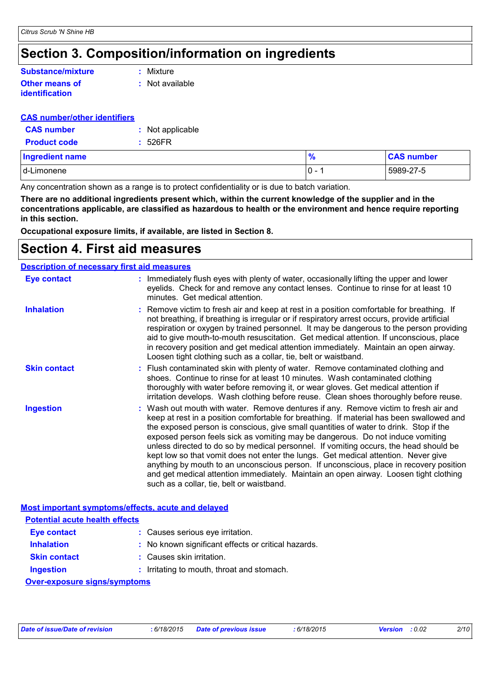### **Section 3. Composition/information on ingredients**

#### **Other means of identification Substance/mixture**

**:** Mixture

**:** Not available

#### **CAS number/other identifiers**

| <b>CAS number</b>   | : Not applicable |
|---------------------|------------------|
| <b>Product code</b> | : 526FR          |

| <b>Ingredient name</b> | $\overline{\prime}$ | <b>CAS number</b> |
|------------------------|---------------------|-------------------|
| d-Limonene             |                     | 5989-27-5         |

Any concentration shown as a range is to protect confidentiality or is due to batch variation.

**There are no additional ingredients present which, within the current knowledge of the supplier and in the concentrations applicable, are classified as hazardous to health or the environment and hence require reporting in this section.**

**Occupational exposure limits, if available, are listed in Section 8.**

### **Section 4. First aid measures**

#### **Description of necessary first aid measures**

| <b>Eye contact</b>                                        | : Immediately flush eyes with plenty of water, occasionally lifting the upper and lower<br>eyelids. Check for and remove any contact lenses. Continue to rinse for at least 10<br>minutes. Get medical attention.                                                                                                                                                                                                                                                                                                                                                                                                                                                                                                                                                         |
|-----------------------------------------------------------|---------------------------------------------------------------------------------------------------------------------------------------------------------------------------------------------------------------------------------------------------------------------------------------------------------------------------------------------------------------------------------------------------------------------------------------------------------------------------------------------------------------------------------------------------------------------------------------------------------------------------------------------------------------------------------------------------------------------------------------------------------------------------|
| <b>Inhalation</b>                                         | : Remove victim to fresh air and keep at rest in a position comfortable for breathing. If<br>not breathing, if breathing is irregular or if respiratory arrest occurs, provide artificial<br>respiration or oxygen by trained personnel. It may be dangerous to the person providing<br>aid to give mouth-to-mouth resuscitation. Get medical attention. If unconscious, place<br>in recovery position and get medical attention immediately. Maintain an open airway.<br>Loosen tight clothing such as a collar, tie, belt or waistband.                                                                                                                                                                                                                                 |
| <b>Skin contact</b>                                       | : Flush contaminated skin with plenty of water. Remove contaminated clothing and<br>shoes. Continue to rinse for at least 10 minutes. Wash contaminated clothing<br>thoroughly with water before removing it, or wear gloves. Get medical attention if<br>irritation develops. Wash clothing before reuse. Clean shoes thoroughly before reuse.                                                                                                                                                                                                                                                                                                                                                                                                                           |
| <b>Ingestion</b>                                          | : Wash out mouth with water. Remove dentures if any. Remove victim to fresh air and<br>keep at rest in a position comfortable for breathing. If material has been swallowed and<br>the exposed person is conscious, give small quantities of water to drink. Stop if the<br>exposed person feels sick as vomiting may be dangerous. Do not induce vomiting<br>unless directed to do so by medical personnel. If vomiting occurs, the head should be<br>kept low so that vomit does not enter the lungs. Get medical attention. Never give<br>anything by mouth to an unconscious person. If unconscious, place in recovery position<br>and get medical attention immediately. Maintain an open airway. Loosen tight clothing<br>such as a collar, tie, belt or waistband. |
| <b>Most important symptoms/effects, acute and delayed</b> |                                                                                                                                                                                                                                                                                                                                                                                                                                                                                                                                                                                                                                                                                                                                                                           |

| <b>Potential acute health effects</b> |                                                     |  |  |
|---------------------------------------|-----------------------------------------------------|--|--|
| Eye contact                           | : Causes serious eye irritation.                    |  |  |
| <b>Inhalation</b>                     | : No known significant effects or critical hazards. |  |  |
| <b>Skin contact</b>                   | : Causes skin irritation.                           |  |  |
| <b>Ingestion</b>                      | : Irritating to mouth, throat and stomach.          |  |  |
| <b>Over-exposure signs/symptoms</b>   |                                                     |  |  |

| Date of issue/Date of revision | : 6/18/2015 Date of previous issue | 6/18/2015 | <b>Version</b> : 0.02 | 2/10 |
|--------------------------------|------------------------------------|-----------|-----------------------|------|
|--------------------------------|------------------------------------|-----------|-----------------------|------|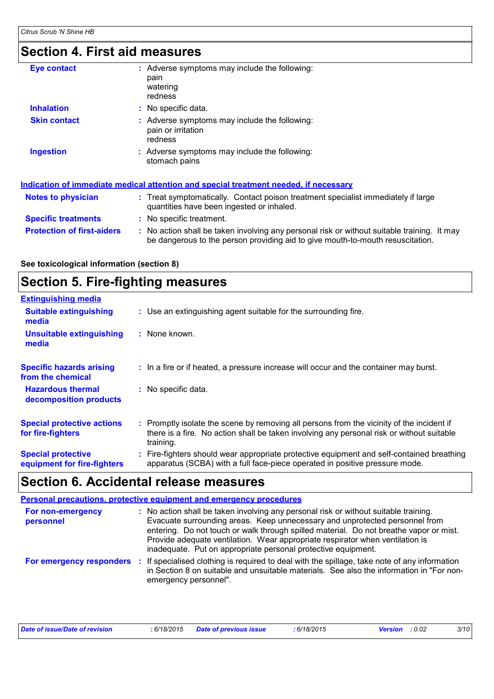### **Section 4. First aid measures**

| <b>Eye contact</b>                | : Adverse symptoms may include the following:<br>pain<br>watering<br>redness                                                                                                  |
|-----------------------------------|-------------------------------------------------------------------------------------------------------------------------------------------------------------------------------|
| <b>Inhalation</b>                 | : No specific data.                                                                                                                                                           |
| <b>Skin contact</b>               | : Adverse symptoms may include the following:<br>pain or irritation<br>redness                                                                                                |
| <b>Ingestion</b>                  | : Adverse symptoms may include the following:<br>stomach pains                                                                                                                |
|                                   | Indication of immediate medical attention and special treatment needed, if necessary                                                                                          |
| <b>Notes to physician</b>         | : Treat symptomatically. Contact poison treatment specialist immediately if large<br>quantities have been ingested or inhaled.                                                |
| <b>Specific treatments</b>        | : No specific treatment.                                                                                                                                                      |
| <b>Protection of first-aiders</b> | : No action shall be taken involving any personal risk or without suitable training. It may<br>be dangerous to the person providing aid to give mouth-to-mouth resuscitation. |
|                                   |                                                                                                                                                                               |

#### **See toxicological information (section 8)**

### **Section 5. Fire-fighting measures**

| <b>Extinguishing media</b>                               |                                                                                                                                                                                                     |
|----------------------------------------------------------|-----------------------------------------------------------------------------------------------------------------------------------------------------------------------------------------------------|
| <b>Suitable extinguishing</b><br>media                   | : Use an extinguishing agent suitable for the surrounding fire.                                                                                                                                     |
| <b>Unsuitable extinguishing</b><br>media                 | $:$ None known.                                                                                                                                                                                     |
| <b>Specific hazards arising</b><br>from the chemical     | : In a fire or if heated, a pressure increase will occur and the container may burst.                                                                                                               |
| <b>Hazardous thermal</b><br>decomposition products       | : No specific data.                                                                                                                                                                                 |
| <b>Special protective actions</b><br>for fire-fighters   | : Promptly isolate the scene by removing all persons from the vicinity of the incident if<br>there is a fire. No action shall be taken involving any personal risk or without suitable<br>training. |
| <b>Special protective</b><br>equipment for fire-fighters | Fire-fighters should wear appropriate protective equipment and self-contained breathing<br>apparatus (SCBA) with a full face-piece operated in positive pressure mode.                              |

### **Section 6. Accidental release measures**

|                                | <b>Personal precautions, protective equipment and emergency procedures</b>                                                                                                                                                                                                                                                                                                                                      |
|--------------------------------|-----------------------------------------------------------------------------------------------------------------------------------------------------------------------------------------------------------------------------------------------------------------------------------------------------------------------------------------------------------------------------------------------------------------|
| For non-emergency<br>personnel | : No action shall be taken involving any personal risk or without suitable training.<br>Evacuate surrounding areas. Keep unnecessary and unprotected personnel from<br>entering. Do not touch or walk through spilled material. Do not breathe vapor or mist.<br>Provide adequate ventilation. Wear appropriate respirator when ventilation is<br>inadequate. Put on appropriate personal protective equipment. |
| For emergency responders :     | If specialised clothing is required to deal with the spillage, take note of any information<br>in Section 8 on suitable and unsuitable materials. See also the information in "For non-<br>emergency personnel".                                                                                                                                                                                                |

| Date of issue/Date of revision | : 6/18/2015 Date of previous issue | .6/18/2015<br><b>Version</b> : 0.02 | 3/10 |
|--------------------------------|------------------------------------|-------------------------------------|------|
|--------------------------------|------------------------------------|-------------------------------------|------|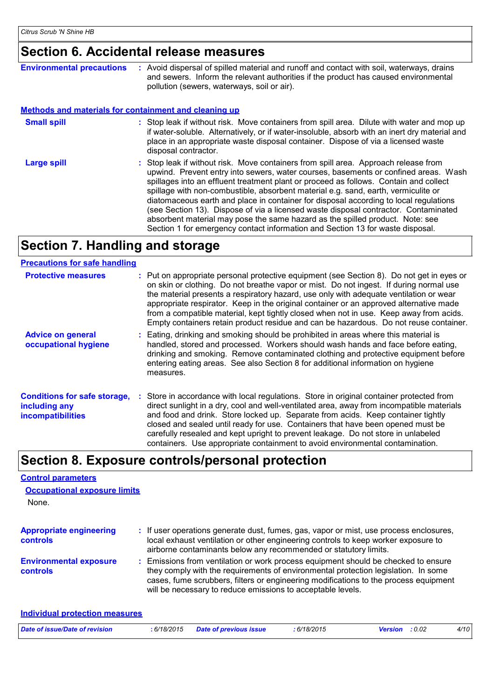### **Section 6. Accidental release measures**

| <b>Environmental precautions</b>                             | : Avoid dispersal of spilled material and runoff and contact with soil, waterways, drains<br>and sewers. Inform the relevant authorities if the product has caused environmental<br>pollution (sewers, waterways, soil or air).                                                                                                                                                                                                                                                                                                                                                                                                                                                                              |
|--------------------------------------------------------------|--------------------------------------------------------------------------------------------------------------------------------------------------------------------------------------------------------------------------------------------------------------------------------------------------------------------------------------------------------------------------------------------------------------------------------------------------------------------------------------------------------------------------------------------------------------------------------------------------------------------------------------------------------------------------------------------------------------|
| <b>Methods and materials for containment and cleaning up</b> |                                                                                                                                                                                                                                                                                                                                                                                                                                                                                                                                                                                                                                                                                                              |
| <b>Small spill</b>                                           | : Stop leak if without risk. Move containers from spill area. Dilute with water and mop up<br>if water-soluble. Alternatively, or if water-insoluble, absorb with an inert dry material and<br>place in an appropriate waste disposal container. Dispose of via a licensed waste<br>disposal contractor.                                                                                                                                                                                                                                                                                                                                                                                                     |
| Large spill                                                  | : Stop leak if without risk. Move containers from spill area. Approach release from<br>upwind. Prevent entry into sewers, water courses, basements or confined areas. Wash<br>spillages into an effluent treatment plant or proceed as follows. Contain and collect<br>spillage with non-combustible, absorbent material e.g. sand, earth, vermiculite or<br>diatomaceous earth and place in container for disposal according to local regulations<br>(see Section 13). Dispose of via a licensed waste disposal contractor. Contaminated<br>absorbent material may pose the same hazard as the spilled product. Note: see<br>Section 1 for emergency contact information and Section 13 for waste disposal. |

### **Section 7. Handling and storage**

#### **Precautions for safe handling**

| <b>Protective measures</b>                                                       | : Put on appropriate personal protective equipment (see Section 8). Do not get in eyes or<br>on skin or clothing. Do not breathe vapor or mist. Do not ingest. If during normal use<br>the material presents a respiratory hazard, use only with adequate ventilation or wear<br>appropriate respirator. Keep in the original container or an approved alternative made<br>from a compatible material, kept tightly closed when not in use. Keep away from acids.<br>Empty containers retain product residue and can be hazardous. Do not reuse container. |
|----------------------------------------------------------------------------------|------------------------------------------------------------------------------------------------------------------------------------------------------------------------------------------------------------------------------------------------------------------------------------------------------------------------------------------------------------------------------------------------------------------------------------------------------------------------------------------------------------------------------------------------------------|
| <b>Advice on general</b><br>occupational hygiene                                 | : Eating, drinking and smoking should be prohibited in areas where this material is<br>handled, stored and processed. Workers should wash hands and face before eating,<br>drinking and smoking. Remove contaminated clothing and protective equipment before<br>entering eating areas. See also Section 8 for additional information on hygiene<br>measures.                                                                                                                                                                                              |
| <b>Conditions for safe storage,</b><br>including any<br><b>incompatibilities</b> | : Store in accordance with local regulations. Store in original container protected from<br>direct sunlight in a dry, cool and well-ventilated area, away from incompatible materials<br>and food and drink. Store locked up. Separate from acids. Keep container tightly<br>closed and sealed until ready for use. Containers that have been opened must be<br>carefully resealed and kept upright to prevent leakage. Do not store in unlabeled<br>containers. Use appropriate containment to avoid environmental contamination.                         |

### **Section 8. Exposure controls/personal protection**

#### **Control parameters**

#### None. **Occupational exposure limits**

| <b>Appropriate engineering</b><br>controls | : If user operations generate dust, fumes, gas, vapor or mist, use process enclosures,<br>local exhaust ventilation or other engineering controls to keep worker exposure to<br>airborne contaminants below any recommended or statutory limits.                                                                                |
|--------------------------------------------|---------------------------------------------------------------------------------------------------------------------------------------------------------------------------------------------------------------------------------------------------------------------------------------------------------------------------------|
| <b>Environmental exposure</b><br>controls  | : Emissions from ventilation or work process equipment should be checked to ensure<br>they comply with the requirements of environmental protection legislation. In some<br>cases, fume scrubbers, filters or engineering modifications to the process equipment<br>will be necessary to reduce emissions to acceptable levels. |

# **Individual protection measures**

| Date of issue/Date of revision<br>: 6/18/2015 | <b>Date of previous issue</b> | : 6/18/2015 | :0.02<br>Version | 4/10 |
|-----------------------------------------------|-------------------------------|-------------|------------------|------|
|-----------------------------------------------|-------------------------------|-------------|------------------|------|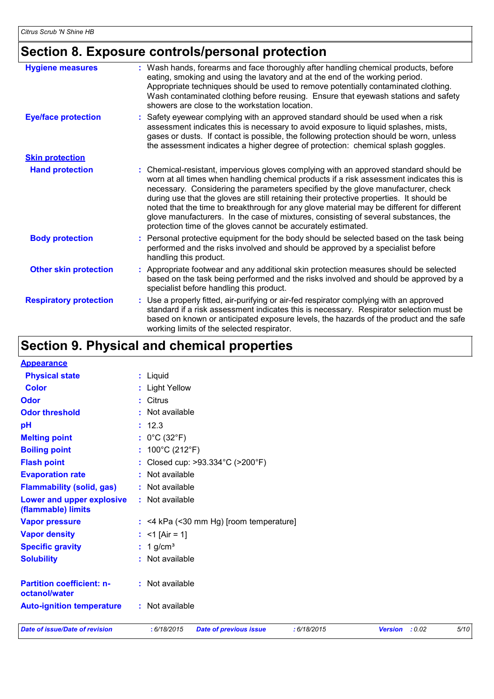### **Section 8. Exposure controls/personal protection**

| <b>Hygiene measures</b>       | : Wash hands, forearms and face thoroughly after handling chemical products, before<br>eating, smoking and using the lavatory and at the end of the working period.<br>Appropriate techniques should be used to remove potentially contaminated clothing.<br>Wash contaminated clothing before reusing. Ensure that eyewash stations and safety<br>showers are close to the workstation location.                                                                                                                                                                                                                      |
|-------------------------------|------------------------------------------------------------------------------------------------------------------------------------------------------------------------------------------------------------------------------------------------------------------------------------------------------------------------------------------------------------------------------------------------------------------------------------------------------------------------------------------------------------------------------------------------------------------------------------------------------------------------|
| <b>Eye/face protection</b>    | : Safety eyewear complying with an approved standard should be used when a risk<br>assessment indicates this is necessary to avoid exposure to liquid splashes, mists,<br>gases or dusts. If contact is possible, the following protection should be worn, unless<br>the assessment indicates a higher degree of protection: chemical splash goggles.                                                                                                                                                                                                                                                                  |
| <b>Skin protection</b>        |                                                                                                                                                                                                                                                                                                                                                                                                                                                                                                                                                                                                                        |
| <b>Hand protection</b>        | : Chemical-resistant, impervious gloves complying with an approved standard should be<br>worn at all times when handling chemical products if a risk assessment indicates this is<br>necessary. Considering the parameters specified by the glove manufacturer, check<br>during use that the gloves are still retaining their protective properties. It should be<br>noted that the time to breakthrough for any glove material may be different for different<br>glove manufacturers. In the case of mixtures, consisting of several substances, the<br>protection time of the gloves cannot be accurately estimated. |
| <b>Body protection</b>        | : Personal protective equipment for the body should be selected based on the task being<br>performed and the risks involved and should be approved by a specialist before<br>handling this product.                                                                                                                                                                                                                                                                                                                                                                                                                    |
| <b>Other skin protection</b>  | : Appropriate footwear and any additional skin protection measures should be selected<br>based on the task being performed and the risks involved and should be approved by a<br>specialist before handling this product.                                                                                                                                                                                                                                                                                                                                                                                              |
| <b>Respiratory protection</b> | : Use a properly fitted, air-purifying or air-fed respirator complying with an approved<br>standard if a risk assessment indicates this is necessary. Respirator selection must be<br>based on known or anticipated exposure levels, the hazards of the product and the safe<br>working limits of the selected respirator.                                                                                                                                                                                                                                                                                             |

## **Section 9. Physical and chemical properties**

| <b>Appearance</b>                                 |                                                             |                |      |
|---------------------------------------------------|-------------------------------------------------------------|----------------|------|
| <b>Physical state</b>                             | : Liquid                                                    |                |      |
| <b>Color</b>                                      | : Light Yellow                                              |                |      |
| Odor                                              | : Citrus                                                    |                |      |
| <b>Odor threshold</b>                             | : Not available                                             |                |      |
| pH                                                | : 12.3                                                      |                |      |
| <b>Melting point</b>                              | : $0^{\circ}$ C (32 $^{\circ}$ F)                           |                |      |
| <b>Boiling point</b>                              | : $100^{\circ}$ C (212 $^{\circ}$ F)                        |                |      |
| <b>Flash point</b>                                | : Closed cup: >93.334°C (>200°F)                            |                |      |
| <b>Evaporation rate</b>                           | : Not available                                             |                |      |
| <b>Flammability (solid, gas)</b>                  | : Not available                                             |                |      |
| Lower and upper explosive<br>(flammable) limits   | : Not available                                             |                |      |
| <b>Vapor pressure</b>                             | $:$ <4 kPa (<30 mm Hg) [room temperature]                   |                |      |
| <b>Vapor density</b>                              | : $<$ 1 [Air = 1]                                           |                |      |
| <b>Specific gravity</b>                           | $: 1$ g/cm <sup>3</sup>                                     |                |      |
| <b>Solubility</b>                                 | : Not available                                             |                |      |
| <b>Partition coefficient: n-</b><br>octanol/water | : Not available                                             |                |      |
| <b>Auto-ignition temperature</b>                  | : Not available                                             |                |      |
| <b>Date of issue/Date of revision</b>             | : 6/18/2015<br><b>Date of previous issue</b><br>: 6/18/2015 | Version : 0.02 | 5/10 |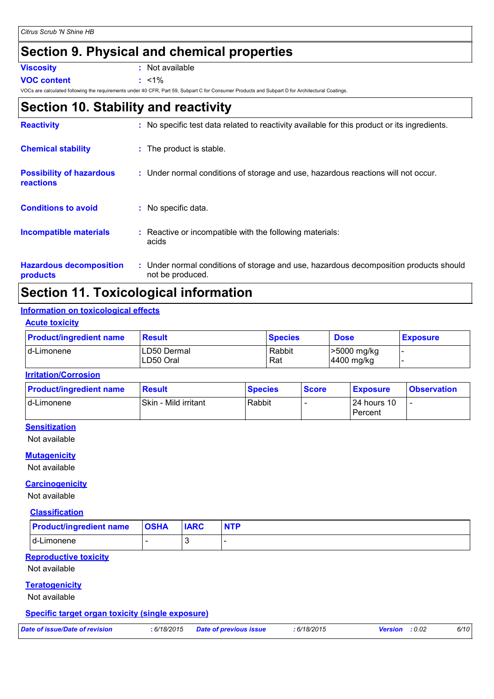### **Section 9. Physical and chemical properties**

**Viscosity :** Not available

**VOC content :** <1%

VOCs are calculated following the requirements under 40 CFR, Part 59, Subpart C for Consumer Products and Subpart D for Architectural Coatings.

### **Section 10. Stability and reactivity**

| <b>Reactivity</b>                            | : No specific test data related to reactivity available for this product or its ingredients.              |
|----------------------------------------------|-----------------------------------------------------------------------------------------------------------|
| <b>Chemical stability</b>                    | : The product is stable.                                                                                  |
| <b>Possibility of hazardous</b><br>reactions | : Under normal conditions of storage and use, hazardous reactions will not occur.                         |
| <b>Conditions to avoid</b>                   | : No specific data.                                                                                       |
| <b>Incompatible materials</b>                | Reactive or incompatible with the following materials:<br>acids                                           |
| <b>Hazardous decomposition</b><br>products   | : Under normal conditions of storage and use, hazardous decomposition products should<br>not be produced. |

### **Section 11. Toxicological information**

#### **Information on toxicological effects**

#### **Acute toxicity**

| <b>Product/ingredient name</b> | <b>Result</b>            | <b>Species</b> | <b>Dose</b>               | <b>Exposure</b> |
|--------------------------------|--------------------------|----------------|---------------------------|-----------------|
| I d-Limonene                   | LD50 Dermal<br>LD50 Oral | Rabbit<br>Rat  | >5000 mg/kg<br>4400 mg/kg |                 |

#### **Irritation/Corrosion**

| <b>Product/ingredient name</b> | <b>Result</b>        | <b>Species</b> | <b>Score</b> | <b>Exposure</b>         | <b>Observation</b> |
|--------------------------------|----------------------|----------------|--------------|-------------------------|--------------------|
| I d-Limonene                   | Skin - Mild irritant | Rabbit         |              | 124 hours 10<br>Percent |                    |

#### **Sensitization**

Not available

#### **Mutagenicity**

Not available

#### **Carcinogenicity**

Not available

#### **Classification**

| <b>Product/ingredient name OSHA</b> | <b>IARC</b> | <b>NTP</b> |
|-------------------------------------|-------------|------------|
| Id-Limonene                         |             |            |

### **Reproductive toxicity**

Not available

#### **Teratogenicity**

Not available

#### **Specific target organ toxicity (single exposure)**

|  | Date of issue/Date of revision | : 6/18/2015 | <b>Date of previous issue</b> | : 6/18/2015 | <b>Version</b> : 0.02 | 6/10 |
|--|--------------------------------|-------------|-------------------------------|-------------|-----------------------|------|
|--|--------------------------------|-------------|-------------------------------|-------------|-----------------------|------|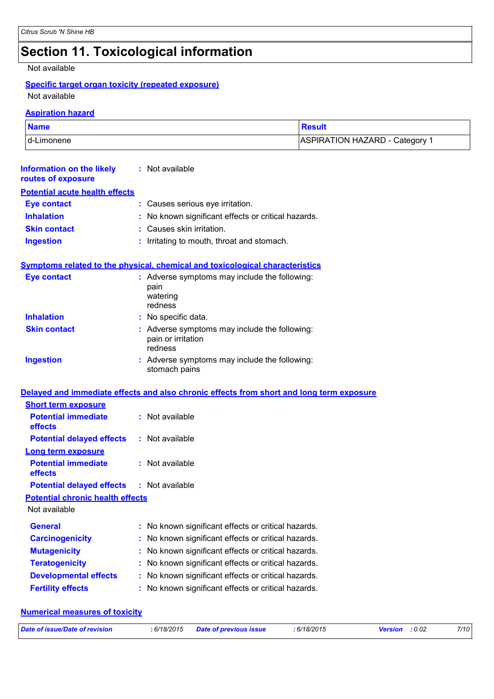## **Section 11. Toxicological information**

Not available

#### **Specific target organ toxicity (repeated exposure)**

Not available

#### **Aspiration hazard**

| <b>Name</b>  | Result                                |
|--------------|---------------------------------------|
| l d-Limonene | <b>ASPIRATION HAZARD - Category 1</b> |

| <b>Information on the likely</b><br>routes of exposure | : Not available                                                                          |
|--------------------------------------------------------|------------------------------------------------------------------------------------------|
| <b>Potential acute health effects</b>                  |                                                                                          |
| <b>Eye contact</b>                                     | : Causes serious eye irritation.                                                         |
| <b>Inhalation</b>                                      | : No known significant effects or critical hazards.                                      |
| <b>Skin contact</b>                                    | : Causes skin irritation.                                                                |
| <b>Ingestion</b>                                       | : Irritating to mouth, throat and stomach.                                               |
|                                                        | Symptoms related to the physical, chemical and toxicological characteristics             |
| <b>Eye contact</b>                                     | : Adverse symptoms may include the following:<br>pain<br>watering<br>redness             |
| <b>Inhalation</b>                                      | : No specific data.                                                                      |
| <b>Skin contact</b>                                    | : Adverse symptoms may include the following:<br>pain or irritation<br>redness           |
| <b>Ingestion</b>                                       | : Adverse symptoms may include the following:<br>stomach pains                           |
|                                                        | Delayed and immediate effects and also chronic effects from short and long term exposure |
| <b>Short term exposure</b>                             |                                                                                          |
| <b>Potential immediate</b><br>effects                  | : Not available                                                                          |
| <b>Potential delayed effects</b>                       | : Not available                                                                          |
| <b>Long term exposure</b>                              |                                                                                          |
| <b>Potential immediate</b><br>effects                  | : Not available                                                                          |
| <b>Potential delayed effects</b>                       | : Not available                                                                          |
| <b>Potential chronic health effects</b>                |                                                                                          |
| Not available                                          |                                                                                          |
| <b>General</b>                                         | : No known significant effects or critical hazards.                                      |
| <b>Carcinogenicity</b>                                 | : No known significant effects or critical hazards.                                      |
| <b>Mutagenicity</b>                                    | : No known significant effects or critical hazards.                                      |
| <b>Teratogenicity</b>                                  | : No known significant effects or critical hazards.                                      |
| <b>Developmental effects</b>                           | : No known significant effects or critical hazards.                                      |
| <b>Fertility effects</b>                               | : No known significant effects or critical hazards.                                      |

#### **Numerical measures of toxicity**

| Date of issue/Date of revision | .6/18/2015 | <b>Date of previous issue</b> | 6/18/2015 | Version | : 0.02 | 7/10 |
|--------------------------------|------------|-------------------------------|-----------|---------|--------|------|
|                                |            |                               |           |         |        |      |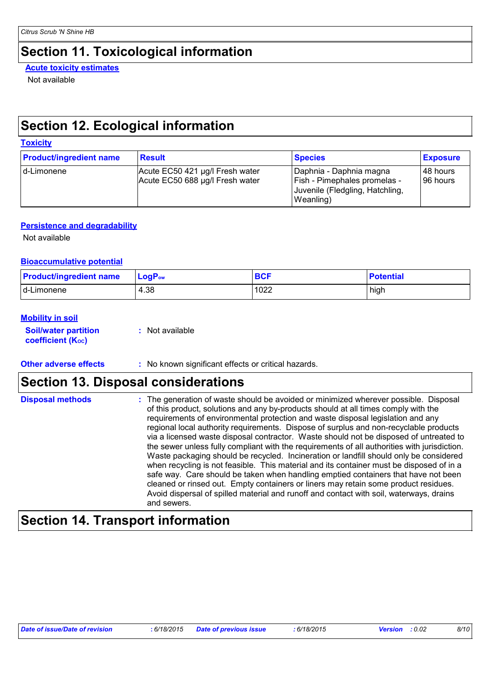### **Section 11. Toxicological information**

**Acute toxicity estimates**

Not available

### **Section 12. Ecological information**

#### **Toxicity**

| <b>Product/ingredient name</b> | <b>Result</b>                                                      | <b>Species</b>                                                                                          | <b>Exposure</b>         |
|--------------------------------|--------------------------------------------------------------------|---------------------------------------------------------------------------------------------------------|-------------------------|
| Id-Limonene                    | Acute EC50 421 µg/l Fresh water<br>Acute EC50 688 µg/l Fresh water | Daphnia - Daphnia magna<br>Fish - Pimephales promelas -<br>Juvenile (Fledgling, Hatchling,<br>Weanling) | 148 hours<br>l 96 hours |

#### **Persistence and degradability**

Not available

#### **Bioaccumulative potential**

| <b>Product/ingredient name</b> | $\mathsf{LogP}_\mathsf{ow}$ | <b>BCF</b> | <b>Potential</b> |
|--------------------------------|-----------------------------|------------|------------------|
| d-Limonene                     | 4.38                        | 1022       | high             |

#### **Mobility in soil**

| <b>Soil/water partition</b>    | : Not available |
|--------------------------------|-----------------|
| coefficient (K <sub>oc</sub> ) |                 |

#### **Other adverse effects** : No known significant effects or critical hazards.

### **Section 13. Disposal considerations**

| of this product, solutions and any by-products should at all times comply with the<br>and sewers. | requirements of environmental protection and waste disposal legislation and any<br>regional local authority requirements. Dispose of surplus and non-recyclable products<br>via a licensed waste disposal contractor. Waste should not be disposed of untreated to<br>the sewer unless fully compliant with the requirements of all authorities with jurisdiction.<br>Waste packaging should be recycled. Incineration or landfill should only be considered<br>when recycling is not feasible. This material and its container must be disposed of in a<br>safe way. Care should be taken when handling emptied containers that have not been<br>cleaned or rinsed out. Empty containers or liners may retain some product residues.<br>Avoid dispersal of spilled material and runoff and contact with soil, waterways, drains |
|---------------------------------------------------------------------------------------------------|----------------------------------------------------------------------------------------------------------------------------------------------------------------------------------------------------------------------------------------------------------------------------------------------------------------------------------------------------------------------------------------------------------------------------------------------------------------------------------------------------------------------------------------------------------------------------------------------------------------------------------------------------------------------------------------------------------------------------------------------------------------------------------------------------------------------------------|
|---------------------------------------------------------------------------------------------------|----------------------------------------------------------------------------------------------------------------------------------------------------------------------------------------------------------------------------------------------------------------------------------------------------------------------------------------------------------------------------------------------------------------------------------------------------------------------------------------------------------------------------------------------------------------------------------------------------------------------------------------------------------------------------------------------------------------------------------------------------------------------------------------------------------------------------------|

### **Section 14. Transport information**

| Date of issue/Date of revision | : 6/18/2015 Date of previous issue | : 6/18/2015 | <b>Version</b> : 0.02 | 8/10 |
|--------------------------------|------------------------------------|-------------|-----------------------|------|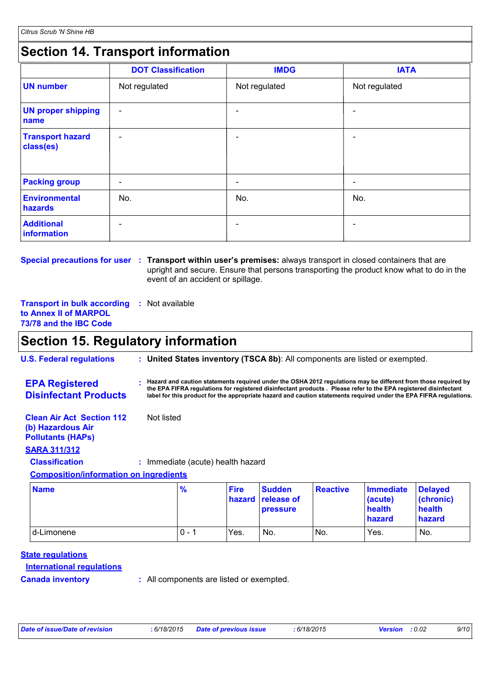### **Section 14. Transport information**

|                                      | <b>DOT Classification</b> | <b>IMDG</b>   | <b>IATA</b>   |
|--------------------------------------|---------------------------|---------------|---------------|
| <b>UN number</b>                     | Not regulated             | Not regulated | Not regulated |
| <b>UN proper shipping</b><br>name    | $\overline{\phantom{0}}$  |               |               |
| <b>Transport hazard</b><br>class(es) | $\overline{\phantom{0}}$  |               |               |
| <b>Packing group</b>                 | $\overline{\phantom{a}}$  | -             |               |
| <b>Environmental</b><br>hazards      | No.                       | No.           | No.           |
| <b>Additional</b><br>information     | $\qquad \qquad$           |               |               |

**Special precautions for user : Transport within user's premises: always transport in closed containers that are** upright and secure. Ensure that persons transporting the product know what to do in the event of an accident or spillage.

**Transport in bulk according :** Not available **to Annex II of MARPOL 73/78 and the IBC Code**

### **Section 15. Regulatory information**

| <b>U.S. Federal regulations</b><br>: United States inventory (TSCA 8b): All components are listed or exempted. |  |                                                                                                                                                                                                                                                                                                                                                         |                       |                                                       |                 |                                                 |                                                 |  |
|----------------------------------------------------------------------------------------------------------------|--|---------------------------------------------------------------------------------------------------------------------------------------------------------------------------------------------------------------------------------------------------------------------------------------------------------------------------------------------------------|-----------------------|-------------------------------------------------------|-----------------|-------------------------------------------------|-------------------------------------------------|--|
| <b>EPA Registered</b><br><b>Disinfectant Products</b>                                                          |  | Hazard and caution statements required under the OSHA 2012 regulations may be different from those required by<br>the EPA FIFRA regulations for registered disinfectant products. Please refer to the EPA registered disinfectant<br>label for this product for the appropriate hazard and caution statements required under the EPA FIFRA requlations. |                       |                                                       |                 |                                                 |                                                 |  |
| <b>Clean Air Act Section 112</b><br>(b) Hazardous Air<br><b>Pollutants (HAPs)</b>                              |  | Not listed                                                                                                                                                                                                                                                                                                                                              |                       |                                                       |                 |                                                 |                                                 |  |
| <b>SARA 311/312</b>                                                                                            |  |                                                                                                                                                                                                                                                                                                                                                         |                       |                                                       |                 |                                                 |                                                 |  |
| <b>Classification</b>                                                                                          |  | : Immediate (acute) health hazard                                                                                                                                                                                                                                                                                                                       |                       |                                                       |                 |                                                 |                                                 |  |
| <b>Composition/information on ingredients</b>                                                                  |  |                                                                                                                                                                                                                                                                                                                                                         |                       |                                                       |                 |                                                 |                                                 |  |
| <b>Name</b>                                                                                                    |  | $\frac{9}{6}$                                                                                                                                                                                                                                                                                                                                           | <b>Fire</b><br>hazard | <b>Sudden</b><br><b>release of</b><br><b>pressure</b> | <b>Reactive</b> | <b>Immediate</b><br>(acute)<br>health<br>hazard | <b>Delayed</b><br>(chronic)<br>health<br>hazard |  |
| d-Limonene                                                                                                     |  | $0 - 1$                                                                                                                                                                                                                                                                                                                                                 | Yes.                  | No.                                                   | No.             | Yes.                                            | No.                                             |  |

#### **State regulations**

**International regulations**

**Canada inventory :** All components are listed or exempted.

| Date of issue/Date of revision |  | : 6/18/2015 Date of previous issue | .6/18/2015 | <b>Version</b> : 0.02 |  | 9/10 |
|--------------------------------|--|------------------------------------|------------|-----------------------|--|------|
|--------------------------------|--|------------------------------------|------------|-----------------------|--|------|